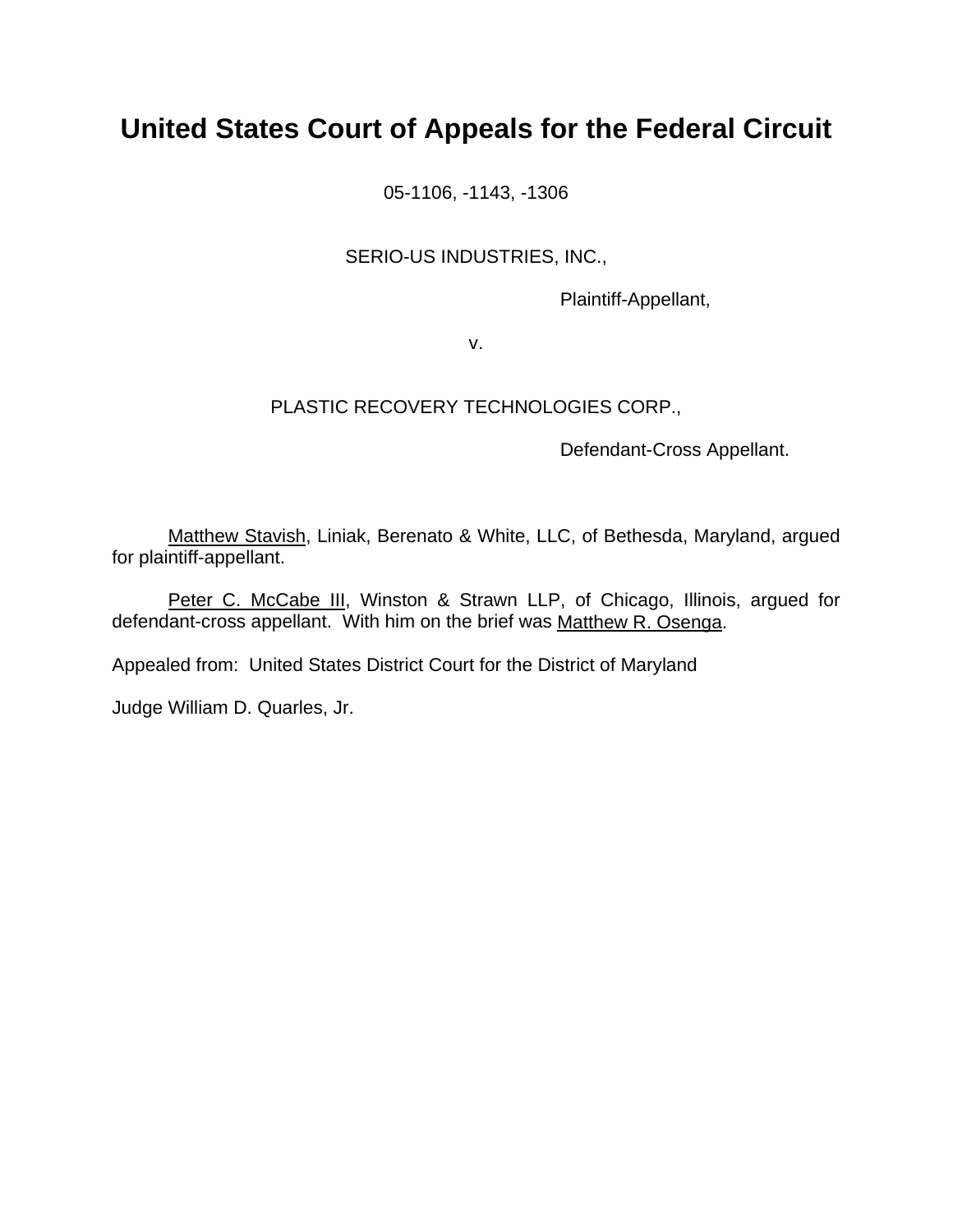# **United States Court of Appeals for the Federal Circuit**

05-1106, -1143, -1306

# SERIO-US INDUSTRIES, INC.,

Plaintiff-Appellant,

v.

# PLASTIC RECOVERY TECHNOLOGIES CORP.,

Defendant-Cross Appellant.

Matthew Stavish, Liniak, Berenato & White, LLC, of Bethesda, Maryland, argued for plaintiff-appellant.

Peter C. McCabe III, Winston & Strawn LLP, of Chicago, Illinois, argued for defendant-cross appellant. With him on the brief was Matthew R. Osenga.

Appealed from: United States District Court for the District of Maryland

Judge William D. Quarles, Jr.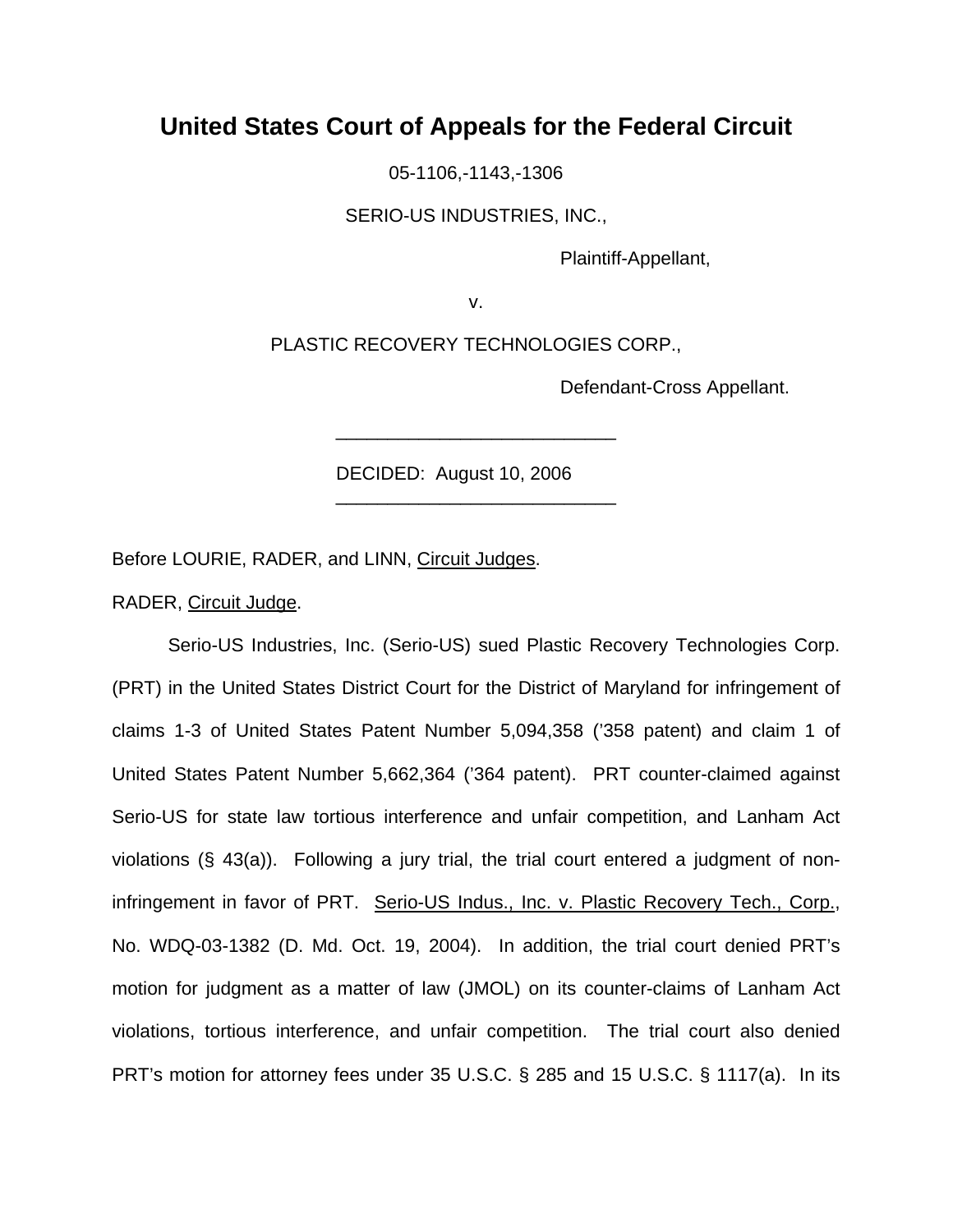# **United States Court of Appeals for the Federal Circuit**

05-1106,-1143,-1306

SERIO-US INDUSTRIES, INC.,

Plaintiff-Appellant,

v.

PLASTIC RECOVERY TECHNOLOGIES CORP.,

\_\_\_\_\_\_\_\_\_\_\_\_\_\_\_\_\_\_\_\_\_\_\_\_\_\_\_

\_\_\_\_\_\_\_\_\_\_\_\_\_\_\_\_\_\_\_\_\_\_\_\_\_\_\_

Defendant-Cross Appellant.

DECIDED: August 10, 2006

Before LOURIE, RADER, and LINN, Circuit Judges.

RADER, Circuit Judge.

 Serio-US Industries, Inc. (Serio-US) sued Plastic Recovery Technologies Corp. (PRT) in the United States District Court for the District of Maryland for infringement of claims 1-3 of United States Patent Number 5,094,358 ('358 patent) and claim 1 of United States Patent Number 5,662,364 ('364 patent). PRT counter-claimed against Serio-US for state law tortious interference and unfair competition, and Lanham Act violations (§ 43(a)). Following a jury trial, the trial court entered a judgment of noninfringement in favor of PRT. Serio-US Indus., Inc. v. Plastic Recovery Tech., Corp., No. WDQ-03-1382 (D. Md. Oct. 19, 2004). In addition, the trial court denied PRT's motion for judgment as a matter of law (JMOL) on its counter-claims of Lanham Act violations, tortious interference, and unfair competition. The trial court also denied PRT's motion for attorney fees under 35 U.S.C. § 285 and 15 U.S.C. § 1117(a). In its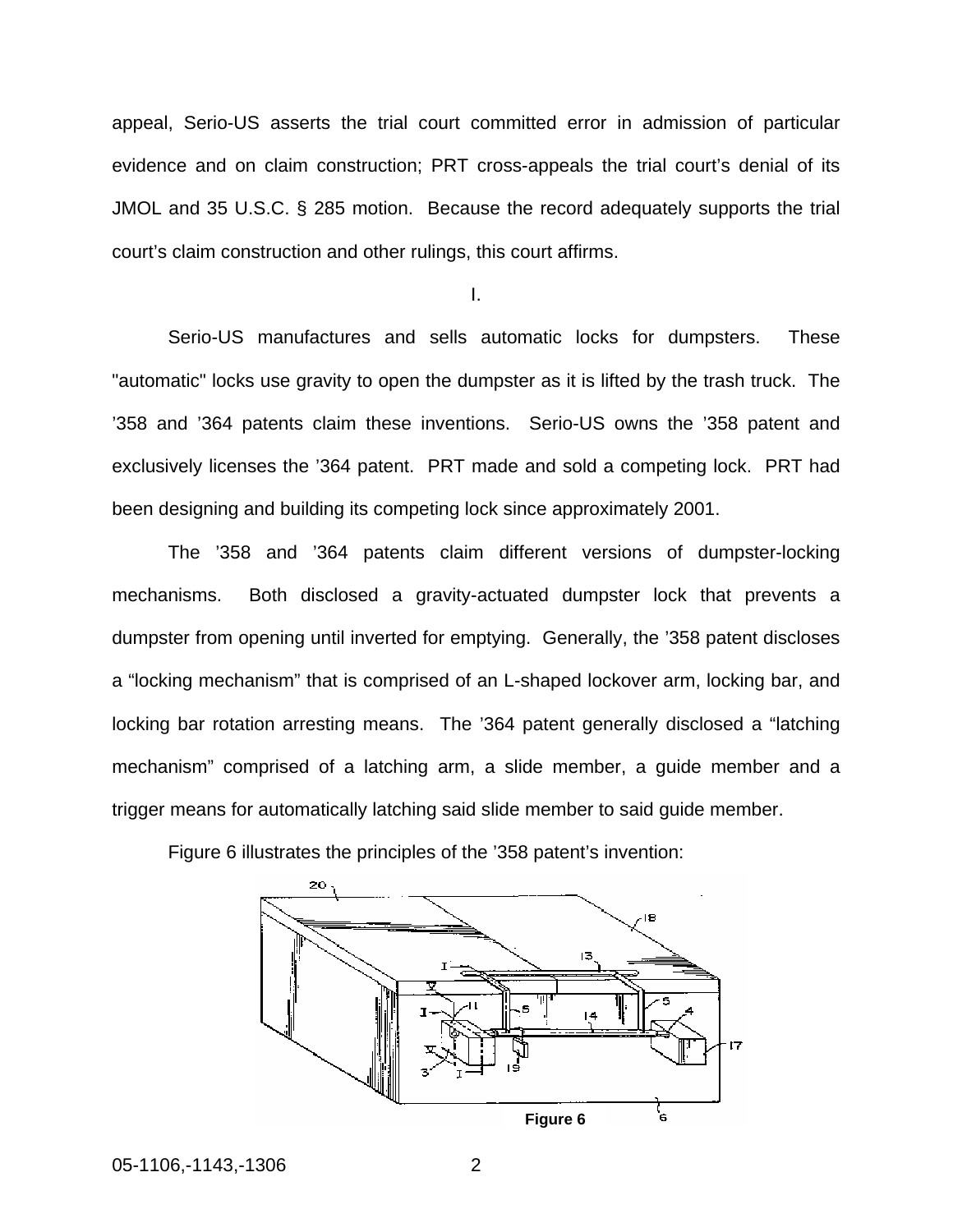appeal, Serio-US asserts the trial court committed error in admission of particular evidence and on claim construction; PRT cross-appeals the trial court's denial of its JMOL and 35 U.S.C. § 285 motion. Because the record adequately supports the trial court's claim construction and other rulings, this court affirms.

I.

Serio-US manufactures and sells automatic locks for dumpsters. These "automatic" locks use gravity to open the dumpster as it is lifted by the trash truck. The '358 and '364 patents claim these inventions. Serio-US owns the '358 patent and exclusively licenses the '364 patent. PRT made and sold a competing lock. PRT had been designing and building its competing lock since approximately 2001.

The '358 and '364 patents claim different versions of dumpster-locking mechanisms. Both disclosed a gravity-actuated dumpster lock that prevents a dumpster from opening until inverted for emptying. Generally, the '358 patent discloses a "locking mechanism" that is comprised of an L-shaped lockover arm, locking bar, and locking bar rotation arresting means. The '364 patent generally disclosed a "latching mechanism" comprised of a latching arm, a slide member, a guide member and a trigger means for automatically latching said slide member to said guide member.



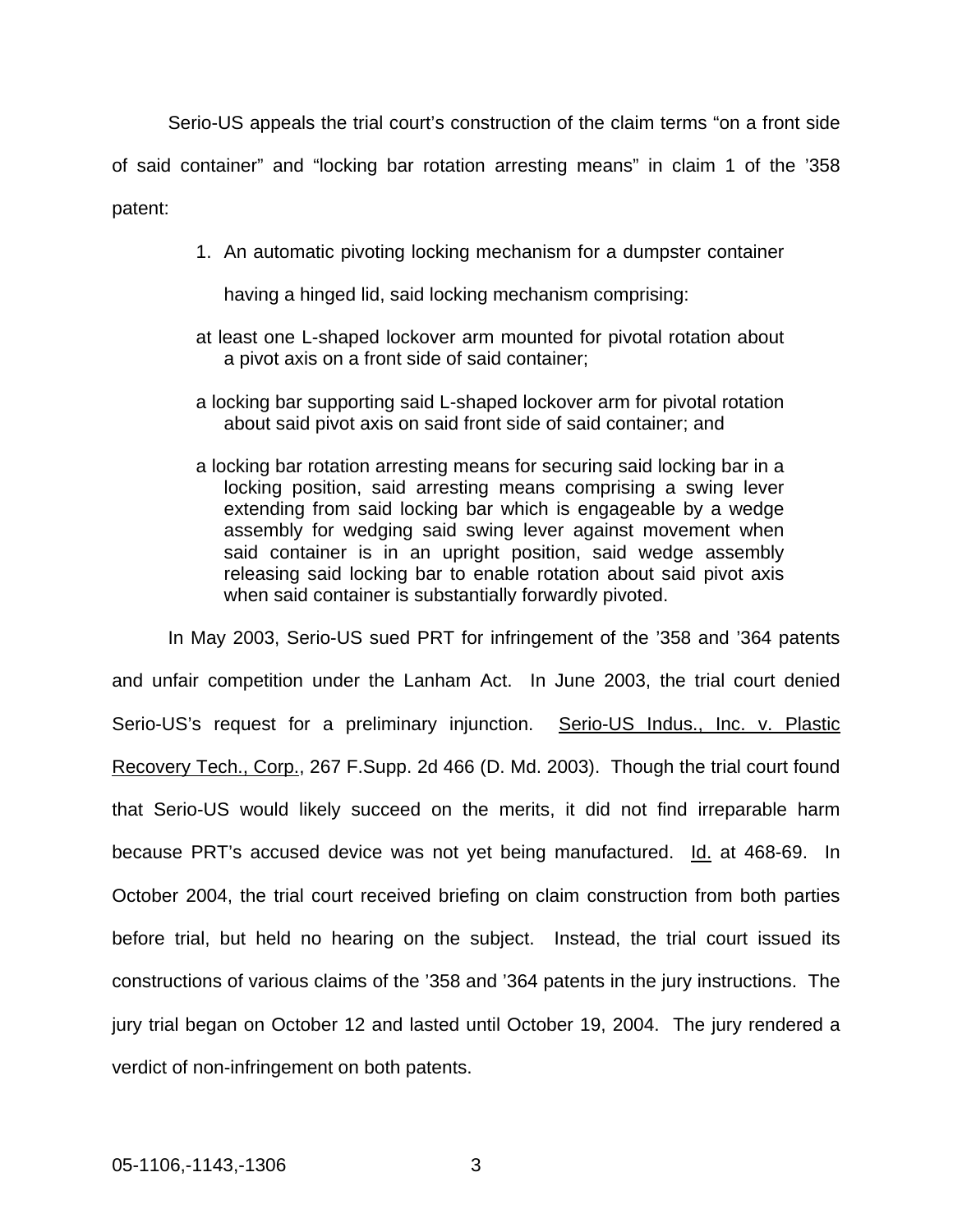Serio-US appeals the trial court's construction of the claim terms "on a front side of said container" and "locking bar rotation arresting means" in claim 1 of the '358 patent:

1. An automatic pivoting locking mechanism for a dumpster container

having a hinged lid, said locking mechanism comprising:

- at least one L-shaped lockover arm mounted for pivotal rotation about a pivot axis on a front side of said container;
- a locking bar supporting said L-shaped lockover arm for pivotal rotation about said pivot axis on said front side of said container; and
- a locking bar rotation arresting means for securing said locking bar in a locking position, said arresting means comprising a swing lever extending from said locking bar which is engageable by a wedge assembly for wedging said swing lever against movement when said container is in an upright position, said wedge assembly releasing said locking bar to enable rotation about said pivot axis when said container is substantially forwardly pivoted.

In May 2003, Serio-US sued PRT for infringement of the '358 and '364 patents and unfair competition under the Lanham Act. In June 2003, the trial court denied Serio-US's request for a preliminary injunction. Serio-US Indus., Inc. v. Plastic Recovery Tech., Corp., 267 F.Supp. 2d 466 (D. Md. 2003). Though the trial court found that Serio-US would likely succeed on the merits, it did not find irreparable harm because PRT's accused device was not yet being manufactured. Id. at 468-69. In October 2004, the trial court received briefing on claim construction from both parties before trial, but held no hearing on the subject. Instead, the trial court issued its constructions of various claims of the '358 and '364 patents in the jury instructions. The jury trial began on October 12 and lasted until October 19, 2004. The jury rendered a verdict of non-infringement on both patents.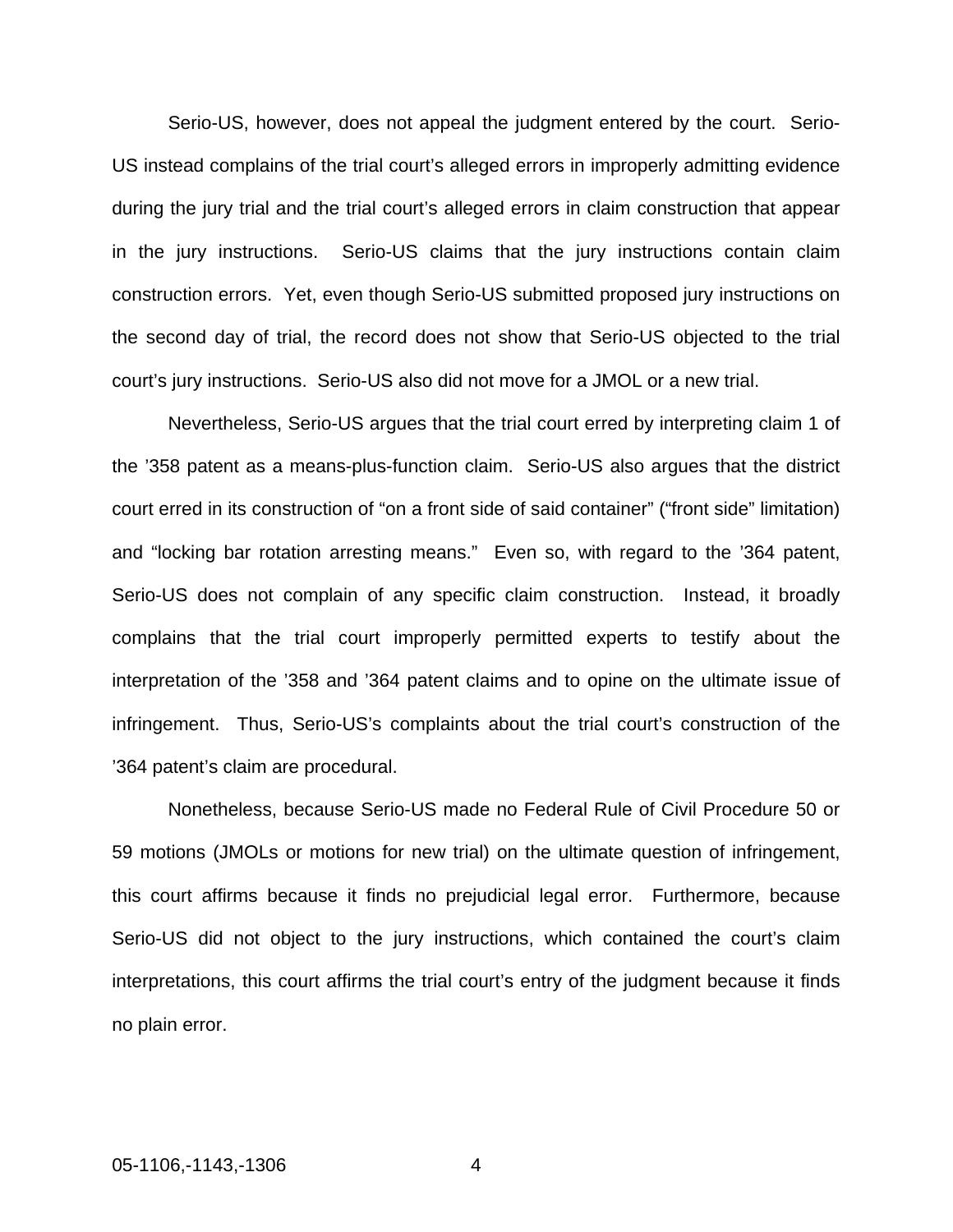Serio-US, however, does not appeal the judgment entered by the court. Serio-US instead complains of the trial court's alleged errors in improperly admitting evidence during the jury trial and the trial court's alleged errors in claim construction that appear in the jury instructions. Serio-US claims that the jury instructions contain claim construction errors. Yet, even though Serio-US submitted proposed jury instructions on the second day of trial, the record does not show that Serio-US objected to the trial court's jury instructions. Serio-US also did not move for a JMOL or a new trial.

Nevertheless, Serio-US argues that the trial court erred by interpreting claim 1 of the '358 patent as a means-plus-function claim. Serio-US also argues that the district court erred in its construction of "on a front side of said container" ("front side" limitation) and "locking bar rotation arresting means." Even so, with regard to the '364 patent, Serio-US does not complain of any specific claim construction. Instead, it broadly complains that the trial court improperly permitted experts to testify about the interpretation of the '358 and '364 patent claims and to opine on the ultimate issue of infringement. Thus, Serio-US's complaints about the trial court's construction of the '364 patent's claim are procedural.

Nonetheless, because Serio-US made no Federal Rule of Civil Procedure 50 or 59 motions (JMOLs or motions for new trial) on the ultimate question of infringement, this court affirms because it finds no prejudicial legal error. Furthermore, because Serio-US did not object to the jury instructions, which contained the court's claim interpretations, this court affirms the trial court's entry of the judgment because it finds no plain error.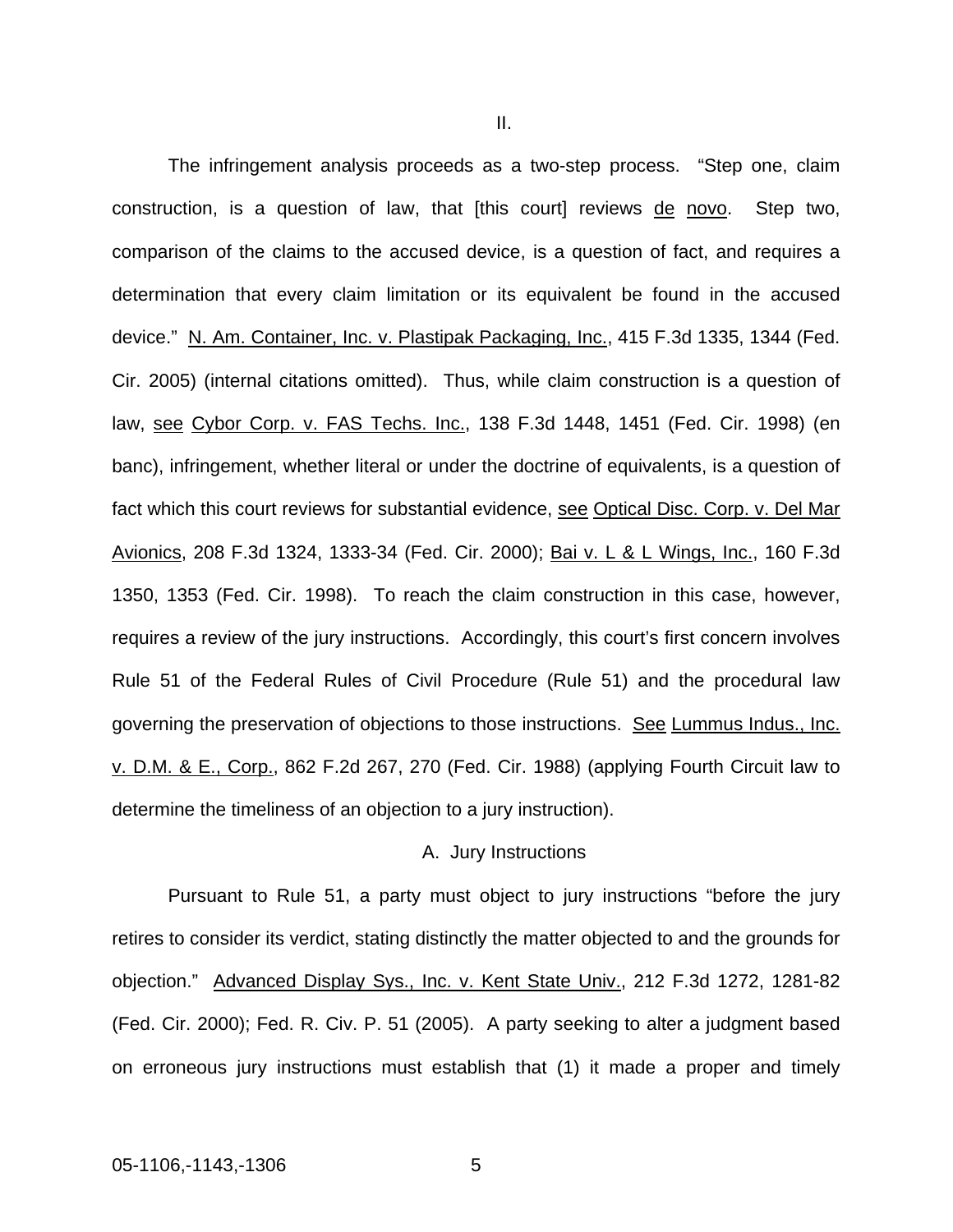The infringement analysis proceeds as a two-step process. "Step one, claim construction, is a question of law, that [this court] reviews de novo. Step two, comparison of the claims to the accused device, is a question of fact, and requires a determination that every claim limitation or its equivalent be found in the accused device." N. Am. Container, Inc. v. Plastipak Packaging, Inc., 415 F.3d 1335, 1344 (Fed. Cir. 2005) (internal citations omitted). Thus, while claim construction is a question of law, see Cybor Corp. v. FAS Techs. Inc., 138 F.3d 1448, 1451 (Fed. Cir. 1998) (en banc), infringement, whether literal or under the doctrine of equivalents, is a question of fact which this court reviews for substantial evidence, see Optical Disc. Corp. v. Del Mar Avionics, 208 F.3d 1324, 1333-34 (Fed. Cir. 2000); Bai v. L & L Wings, Inc., 160 F.3d 1350, 1353 (Fed. Cir. 1998). To reach the claim construction in this case, however, requires a review of the jury instructions. Accordingly, this court's first concern involves Rule 51 of the Federal Rules of Civil Procedure (Rule 51) and the procedural law governing the preservation of objections to those instructions. See Lummus Indus., Inc. v. D.M. & E., Corp., 862 F.2d 267, 270 (Fed. Cir. 1988) (applying Fourth Circuit law to determine the timeliness of an objection to a jury instruction).

#### A. Jury Instructions

Pursuant to Rule 51, a party must object to jury instructions "before the jury retires to consider its verdict, stating distinctly the matter objected to and the grounds for objection." Advanced Display Sys., Inc. v. Kent State Univ., 212 F.3d 1272, 1281-82 (Fed. Cir. 2000); Fed. R. Civ. P. 51 (2005). A party seeking to alter a judgment based on erroneous jury instructions must establish that (1) it made a proper and timely

II.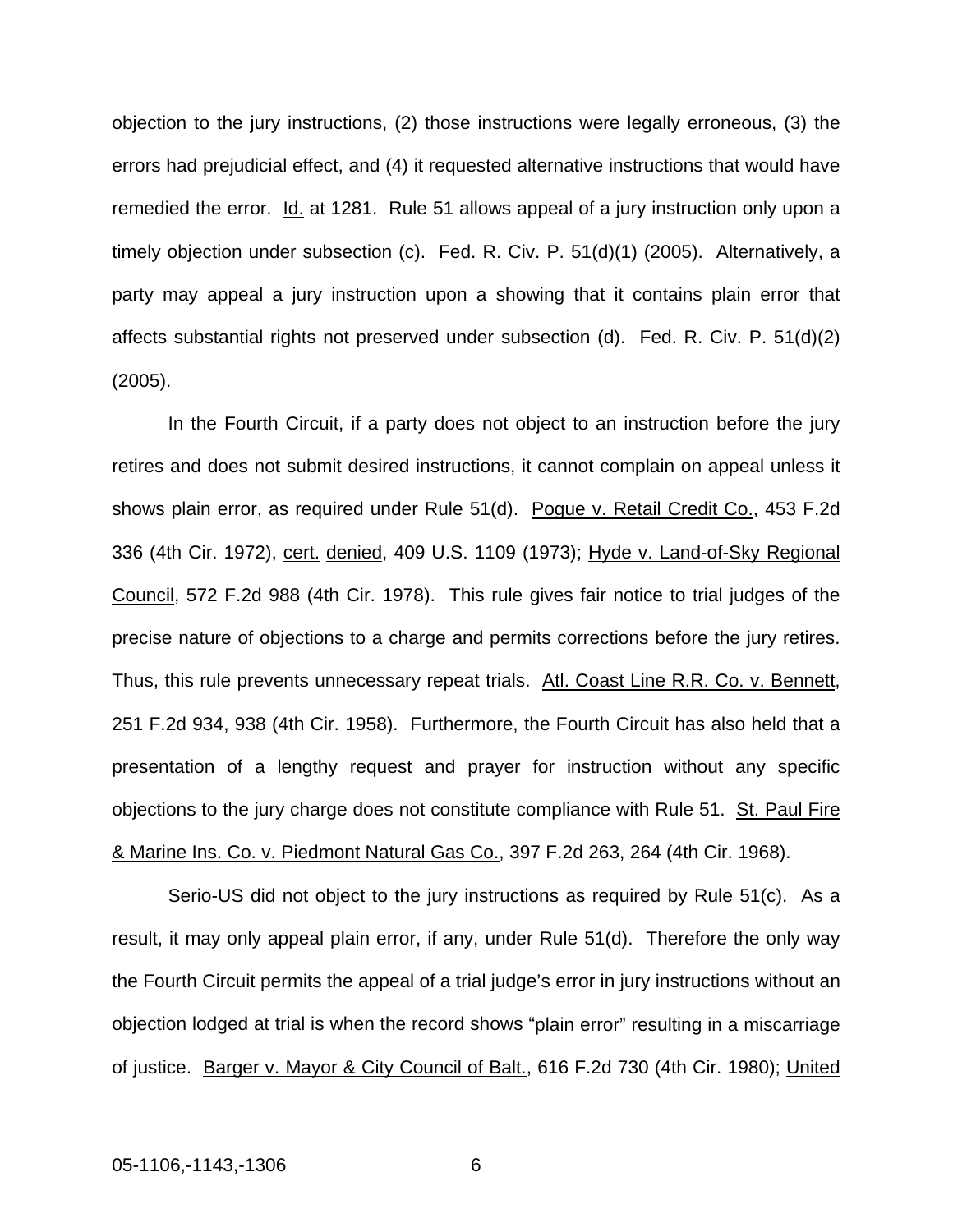objection to the jury instructions, (2) those instructions were legally erroneous, (3) the errors had prejudicial effect, and (4) it requested alternative instructions that would have remedied the error. Id. at 1281. Rule 51 allows appeal of a jury instruction only upon a timely objection under subsection (c). Fed. R. Civ. P. 51(d)(1) (2005). Alternatively, a party may appeal a jury instruction upon a showing that it contains plain error that affects substantial rights not preserved under subsection (d). Fed. R. Civ. P. 51(d)(2) (2005).

In the Fourth Circuit, if a party does not object to an instruction before the jury retires and does not submit desired instructions, it cannot complain on appeal unless it shows plain error, as required under Rule 51(d). Pogue v. Retail Credit Co., 453 F.2d [336 \(4th Cir. 1972\),](http://web2.westlaw.com/find/default.wl?DB=350&SerialNum=1972107845&FindType=Y&AP=&fn=_top&rs=WLW6.05&mt=Westlaw&vr=2.0&sv=Split) cert. denied, [409 U.S. 1109 \(1973\)](http://web2.westlaw.com/find/default.wl?DB=708&SerialNum=1973242183&FindType=Y&AP=&fn=_top&rs=WLW6.05&mt=Westlaw&vr=2.0&sv=Split); Hyde v. Land-of-Sky Regional Council, 572 F.2d 988 (4th Cir. 1978). This rule gives fair notice to trial judges of the precise nature of objections to a charge and permits corrections before the jury retires. Thus, this rule prevents unnecessary repeat trials. Atl. Coast Line R.R. Co. v. Bennett, [251 F.2d 934,](http://web2.westlaw.com/find/default.wl?DB=350&SerialNum=1958110053&FindType=Y&AP=&fn=_top&rs=WLW6.05&mt=Westlaw&vr=2.0&sv=Split) 938 (4th Cir. 1958). Furthermore, the Fourth Circuit has also held that a presentation of a lengthy request and prayer for instruction without any specific objections to the jury charge does not constitute compliance with Rule 51. St. Paul Fire [& Marine Ins. Co. v. Piedmont](http://web2.westlaw.com/find/default.wl?DB=350&SerialNum=1968118265&FindType=Y&AP=&fn=_top&rs=WLW6.05&mt=Westlaw&vr=2.0&sv=Split) [Natural Gas Co.,](http://web2.westlaw.com/find/default.wl?DB=350&SerialNum=1968118265&FindType=Y&AP=&fn=_top&rs=WLW6.05&mt=Westlaw&vr=2.0&sv=Split) 397 F.2d 263, 264 (4th Cir. 1968).

Serio-US did not object to the jury instructions as required by Rule 51(c). As a result, it may only appeal plain error, if any, under Rule 51(d). Therefore the only way the Fourth Circuit permits the appeal of a trial judge's error in jury instructions without an objection lodged at trial is when the record shows "plain error" resulting in a miscarriage of justice. Barger v. Mayor & City Council of Balt., 616 F.2d 730 (4th Cir. 1980); United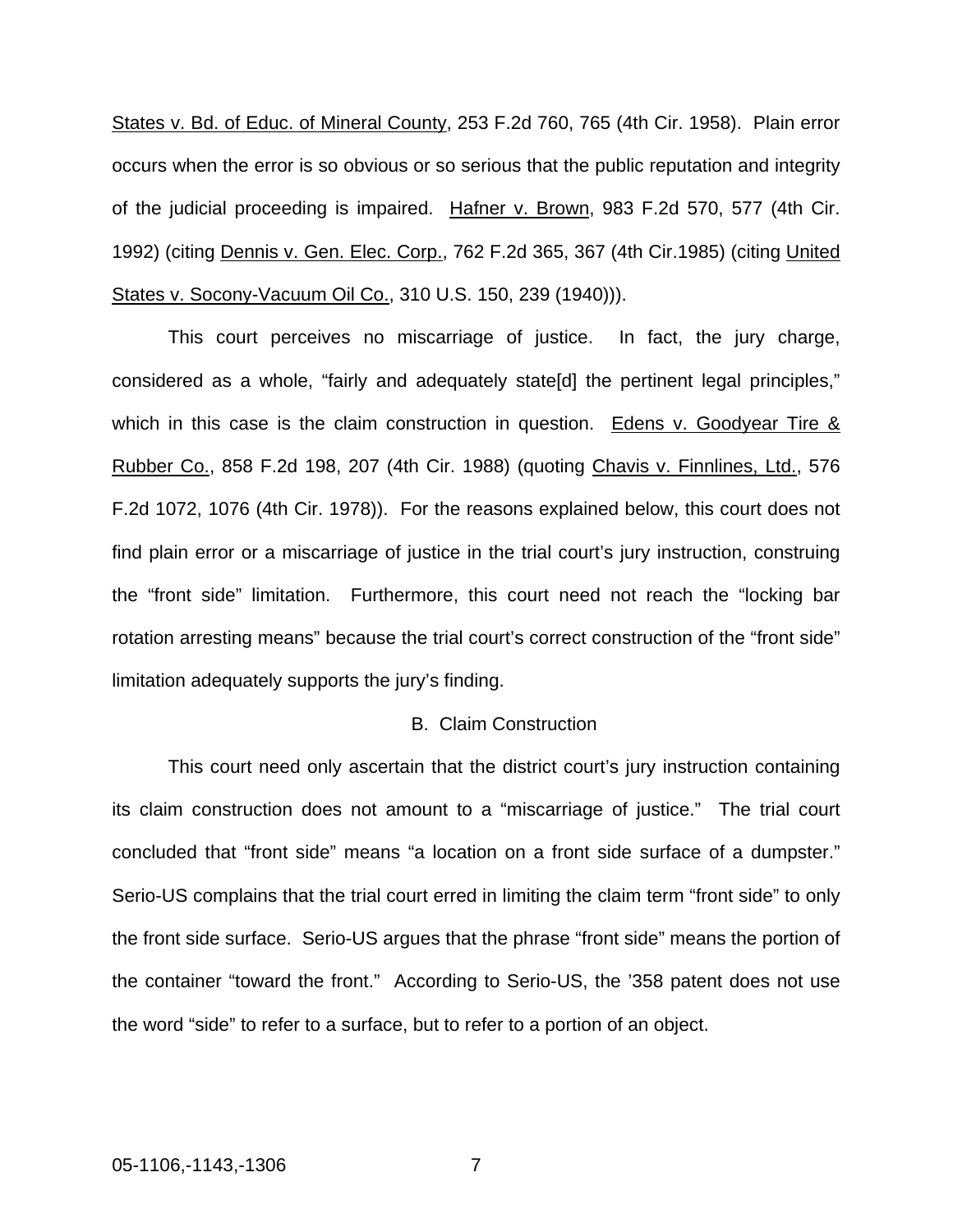States v. Bd. of Educ. of Mineral County, 253 F.2d 760, 765 (4th Cir. 1958). Plain error occurs when the error is so obvious or so serious that the public reputation and integrity of the judicial proceeding is impaired. Hafner v. Brown, 983 F.2d 570, 577 (4th Cir. 1992) (citing Dennis v. Gen. Elec. Corp., 762 F.2d 365, 367 (4th Cir.1985) (citing United States v. Socony-Vacuum Oil Co., 310 U.S. 150, 239 (1940))).

This court perceives no miscarriage of justice. In fact, the jury charge, considered as a whole, "fairly and adequately state[d] the pertinent legal principles," which in this case is the claim construction in question. Edens v. Goodyear Tire & Rubber Co., 858 F.2d 198, 207 (4th Cir. 1988) (quoting Chavis v. Finnlines, Ltd., 576 F.2d 1072, 1076 (4th Cir. 1978)). For the reasons explained below, this court does not find plain error or a miscarriage of justice in the trial court's jury instruction, construing the "front side" limitation. Furthermore, this court need not reach the "locking bar rotation arresting means" because the trial court's correct construction of the "front side" limitation adequately supports the jury's finding.

#### B. Claim Construction

This court need only ascertain that the district court's jury instruction containing its claim construction does not amount to a "miscarriage of justice." The trial court concluded that "front side" means "a location on a front side surface of a dumpster." Serio-US complains that the trial court erred in limiting the claim term "front side" to only the front side surface. Serio-US argues that the phrase "front side" means the portion of the container "toward the front." According to Serio-US, the '358 patent does not use the word "side" to refer to a surface, but to refer to a portion of an object.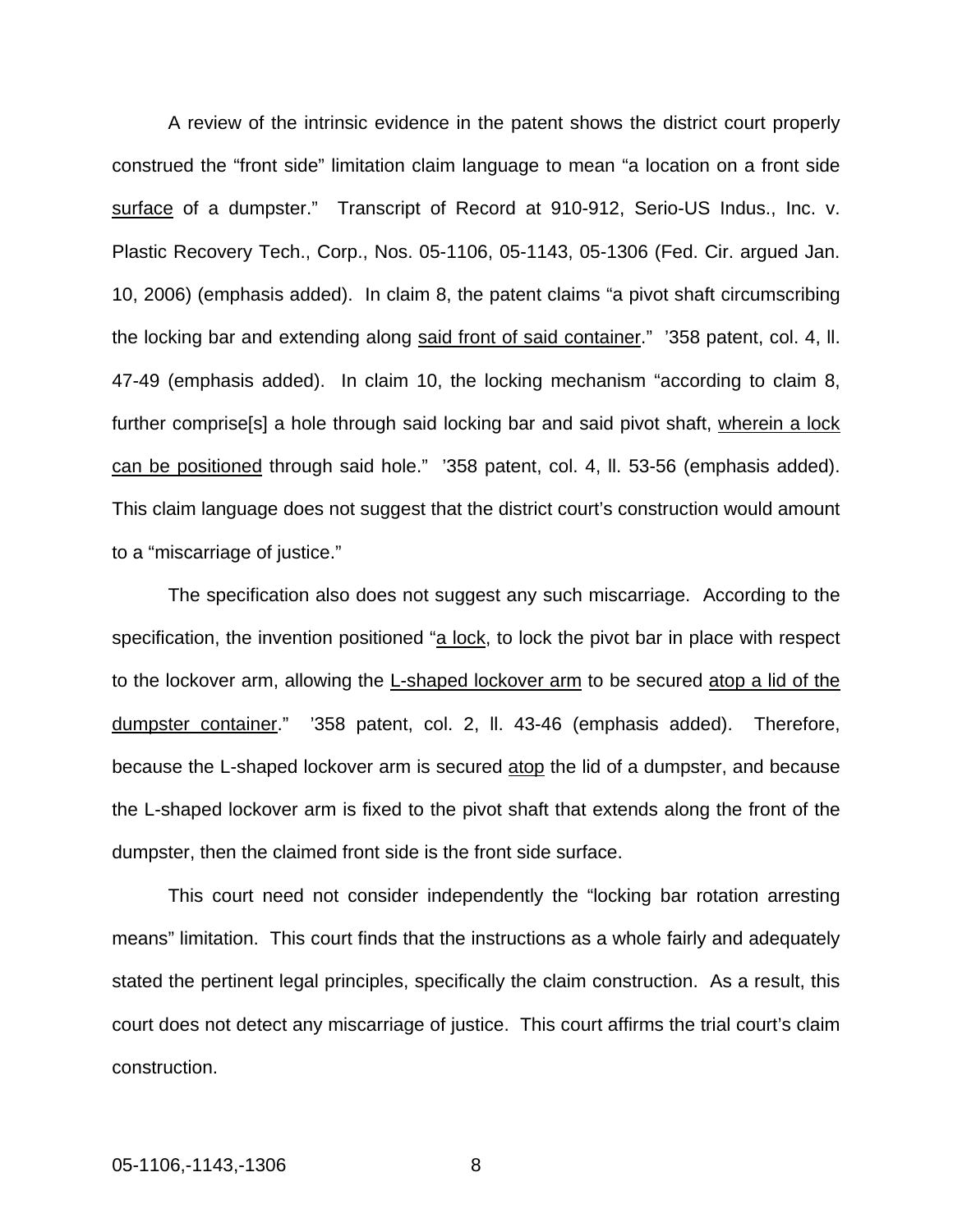A review of the intrinsic evidence in the patent shows the district court properly construed the "front side" limitation claim language to mean "a location on a front side surface of a dumpster." Transcript of Record at 910-912, Serio-US Indus., Inc. v. Plastic Recovery Tech., Corp., Nos. 05-1106, 05-1143, 05-1306 (Fed. Cir. argued Jan. 10, 2006) (emphasis added). In claim 8, the patent claims "a pivot shaft circumscribing the locking bar and extending along said front of said container." '358 patent, col. 4, ll. 47-49 (emphasis added). In claim 10, the locking mechanism "according to claim 8, further comprise[s] a hole through said locking bar and said pivot shaft, wherein a lock can be positioned through said hole." '358 patent, col. 4, ll. 53-56 (emphasis added). This claim language does not suggest that the district court's construction would amount to a "miscarriage of justice."

The specification also does not suggest any such miscarriage. According to the specification, the invention positioned "a lock, to lock the pivot bar in place with respect to the lockover arm, allowing the L-shaped lockover arm to be secured atop a lid of the dumpster container." '358 patent, col. 2, ll. 43-46 (emphasis added). Therefore, because the L-shaped lockover arm is secured atop the lid of a dumpster, and because the L-shaped lockover arm is fixed to the pivot shaft that extends along the front of the dumpster, then the claimed front side is the front side surface.

This court need not consider independently the "locking bar rotation arresting means" limitation. This court finds that the instructions as a whole fairly and adequately stated the pertinent legal principles, specifically the claim construction. As a result, this court does not detect any miscarriage of justice. This court affirms the trial court's claim construction.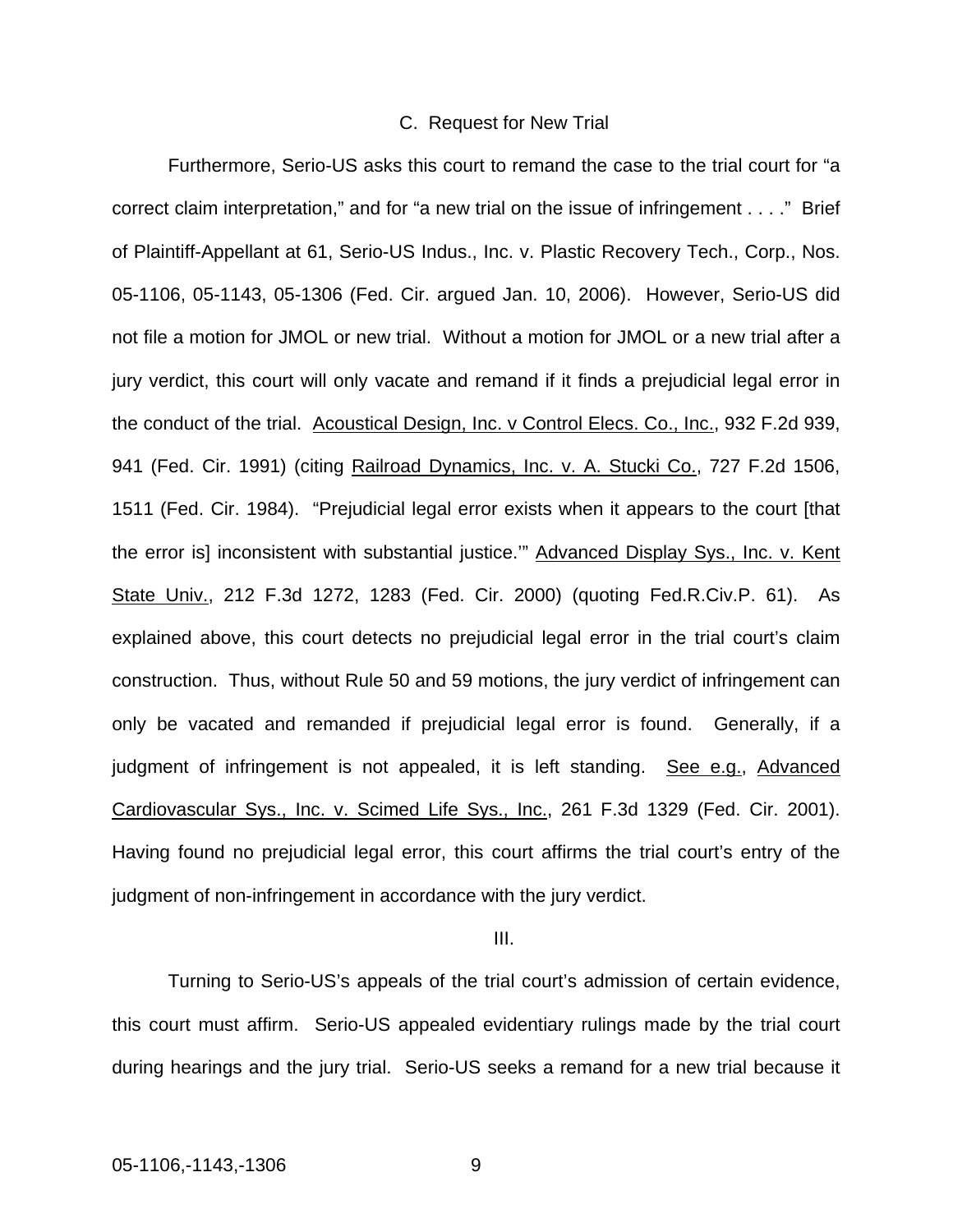#### C. Request for New Trial

Furthermore, Serio-US asks this court to remand the case to the trial court for "a correct claim interpretation," and for "a new trial on the issue of infringement . . . ." Brief of Plaintiff-Appellant at 61, Serio-US Indus., Inc. v. Plastic Recovery Tech., Corp., Nos. 05-1106, 05-1143, 05-1306 (Fed. Cir. argued Jan. 10, 2006). However, Serio-US did not file a motion for JMOL or new trial. Without a motion for JMOL or a new trial after a jury verdict, this court will only vacate and remand if it finds a prejudicial legal error in the conduct of the trial. Acoustical Design, Inc. v Control Elecs. Co., Inc., 932 F.2d 939, 941 (Fed. Cir. 1991) (citing Railroad Dynamics, Inc. v. A. Stucki Co., 727 F.2d 1506, 1511 (Fed. Cir. 1984). "Prejudicial legal error exists when it appears to the court [that the error is] inconsistent with substantial justice.'" Advanced Display Sys., Inc. v. Kent State Univ., 212 F.3d 1272, 1283 (Fed. Cir. 2000) (quoting Fed.R.Civ.P. 61). As explained above, this court detects no prejudicial legal error in the trial court's claim construction. Thus, without Rule 50 and 59 motions, the jury verdict of infringement can only be vacated and remanded if prejudicial legal error is found. Generally, if a judgment of infringement is not appealed, it is left standing. See e.g., Advanced Cardiovascular Sys., Inc. v. Scimed Life Sys., Inc., 261 F.3d 1329 (Fed. Cir. 2001). Having found no prejudicial legal error, this court affirms the trial court's entry of the judgment of non-infringement in accordance with the jury verdict.

#### III.

Turning to Serio-US's appeals of the trial court's admission of certain evidence, this court must affirm. Serio-US appealed evidentiary rulings made by the trial court during hearings and the jury trial. Serio-US seeks a remand for a new trial because it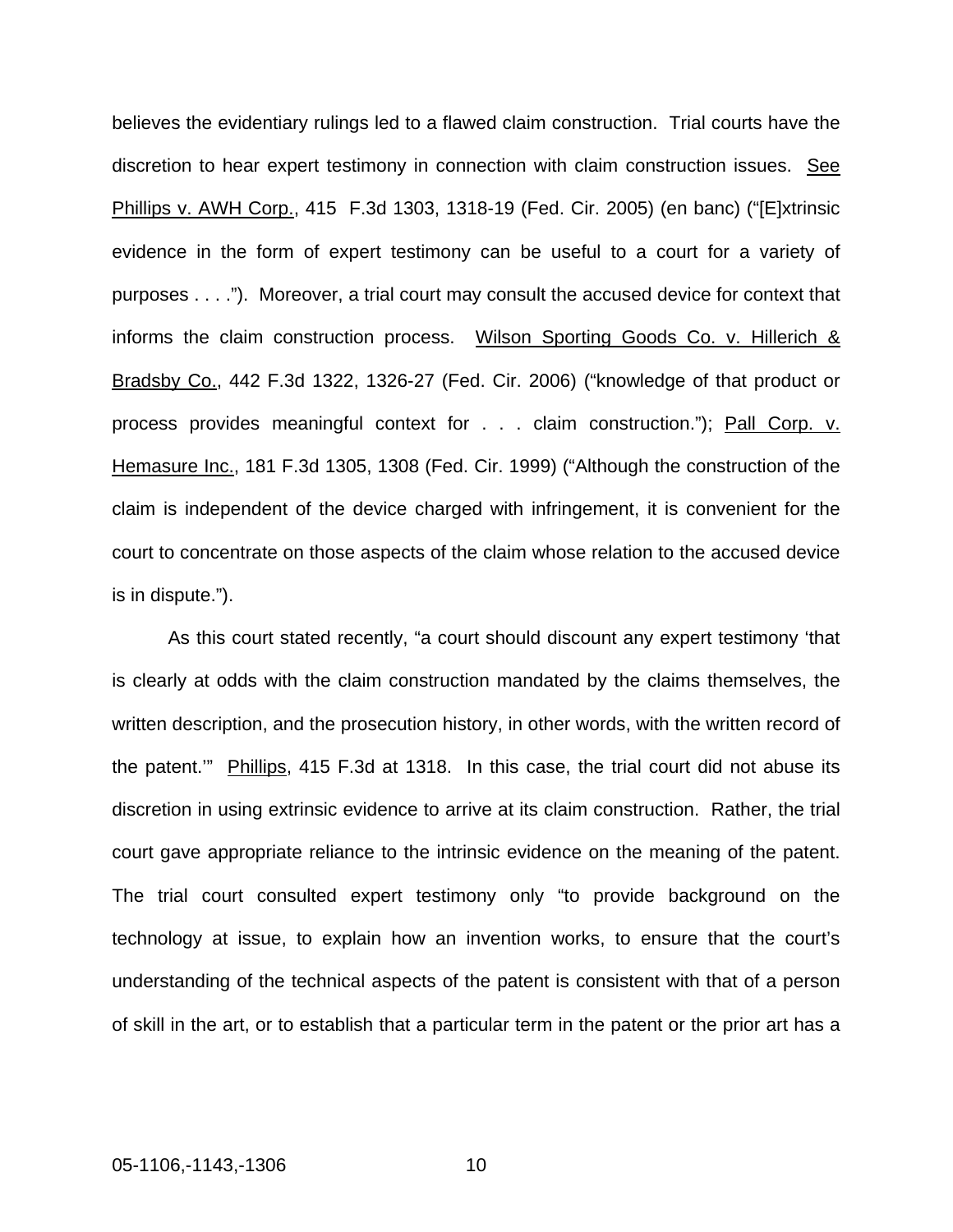believes the evidentiary rulings led to a flawed claim construction. Trial courts have the discretion to hear expert testimony in connection with claim construction issues. See Phillips v. AWH Corp., 415 F.3d 1303, 1318-19 (Fed. Cir. 2005) (en banc) ("[E]xtrinsic evidence in the form of expert testimony can be useful to a court for a variety of purposes . . . ."). Moreover, a trial court may consult the accused device for context that informs the claim construction process. Wilson Sporting Goods Co. v. Hillerich & Bradsby Co., 442 F.3d 1322, 1326-27 (Fed. Cir. 2006) ("knowledge of that product or process provides meaningful context for . . . claim construction."); Pall Corp. v. Hemasure Inc., 181 F.3d 1305, 1308 (Fed. Cir. 1999) ("Although the construction of the claim is independent of the device charged with infringement, it is convenient for the court to concentrate on those aspects of the claim whose relation to the accused device is in dispute.").

As this court stated recently, "a court should discount any expert testimony 'that is clearly at odds with the claim construction mandated by the claims themselves, the written description, and the prosecution history, in other words, with the written record of the patent.'" Phillips, 415 F.3d at 1318. In this case, the trial court did not abuse its discretion in using extrinsic evidence to arrive at its claim construction. Rather, the trial court gave appropriate reliance to the intrinsic evidence on the meaning of the patent. The trial court consulted expert testimony only "to provide background on the technology at issue, to explain how an invention works, to ensure that the court's understanding of the technical aspects of the patent is consistent with that of a person of skill in the art, or to establish that a particular term in the patent or the prior art has a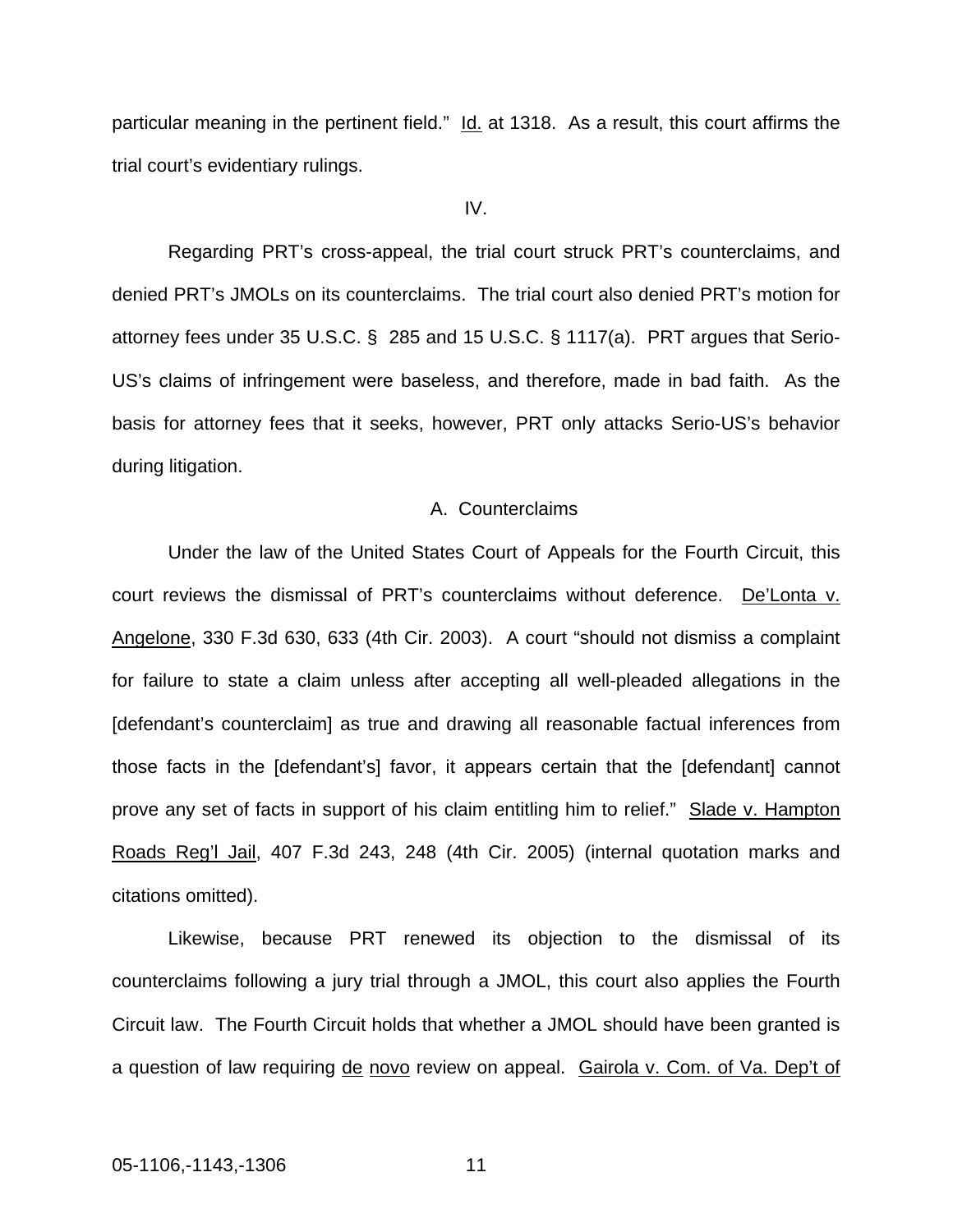particular meaning in the pertinent field." Id. at 1318. As a result, this court affirms the trial court's evidentiary rulings.

### IV.

Regarding PRT's cross-appeal, the trial court struck PRT's counterclaims, and denied PRT's JMOLs on its counterclaims. The trial court also denied PRT's motion for attorney fees under 35 U.S.C. § 285 and 15 U.S.C. § 1117(a). PRT argues that Serio-US's claims of infringement were baseless, and therefore, made in bad faith. As the basis for attorney fees that it seeks, however, PRT only attacks Serio-US's behavior during litigation.

#### A. Counterclaims

Under the law of the United States Court of Appeals for the Fourth Circuit, this court reviews the dismissal of PRT's counterclaims without deference. De'Lonta v. Angelone, 330 F.3d 630, 633 (4th Cir. 2003). A court "should not dismiss a complaint for failure to state a claim unless after accepting all well-pleaded allegations in the [defendant's counterclaim] as true and drawing all reasonable factual inferences from those facts in the [defendant's] favor, it appears certain that the [defendant] cannot prove any set of facts in support of his claim entitling him to relief." Slade v. Hampton Roads Reg'l Jail, 407 F.3d 243, 248 (4th Cir. 2005) (internal quotation marks and citations omitted).

Likewise, because PRT renewed its objection to the dismissal of its counterclaims following a jury trial through a JMOL, this court also applies the Fourth Circuit law. The Fourth Circuit holds that whether a JMOL should have been granted is a question of law requiring de novo review on appeal. Gairola v. Com. of Va. Dep't of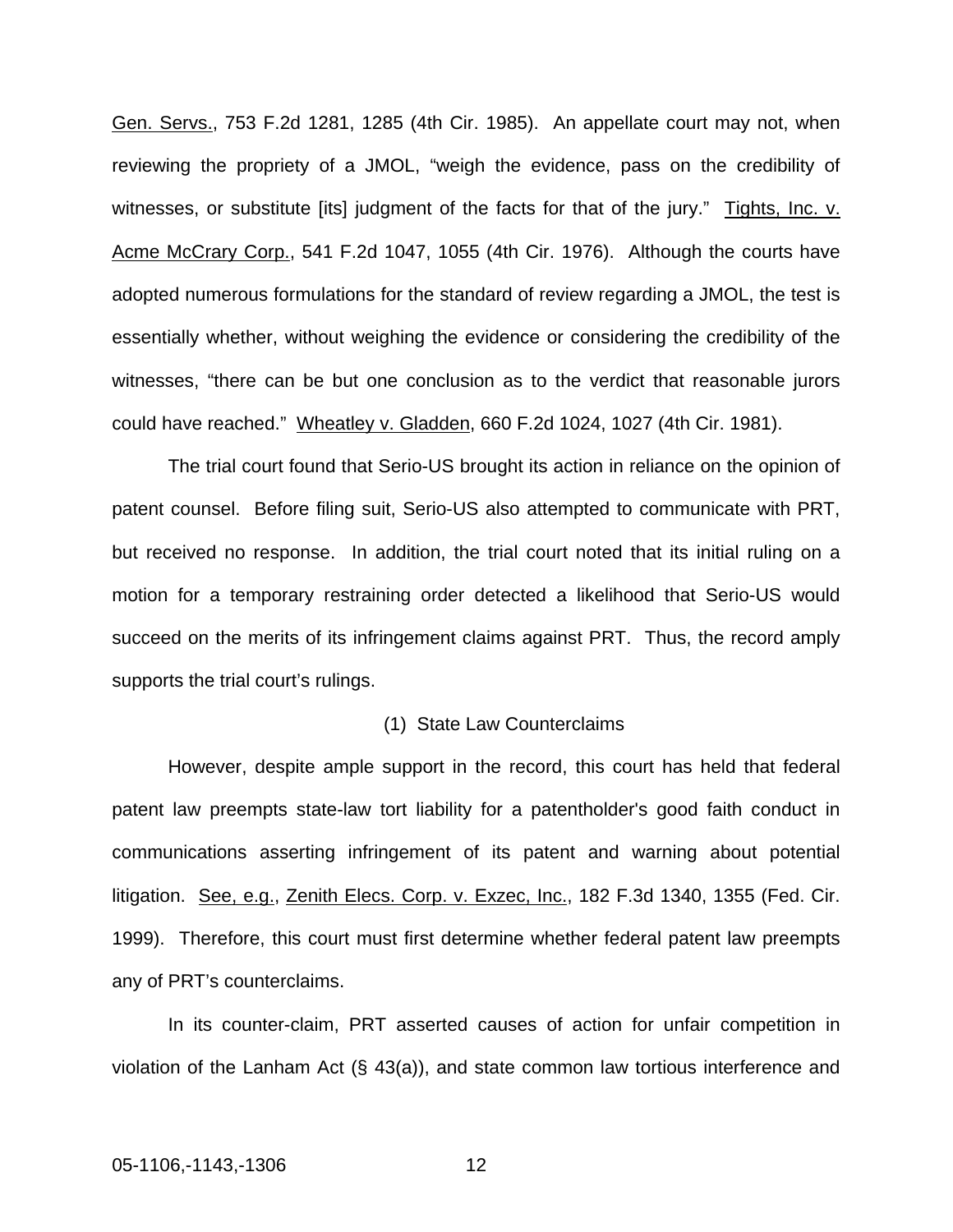Gen. Servs., 753 F.2d 1281, 1285 (4th Cir. 1985). An appellate court may not, when reviewing the propriety of a JMOL, "weigh the evidence, pass on the credibility of witnesses, or substitute [its] judgment of the facts for that of the jury." Tights, Inc. v. Acme McCrary Corp., 541 F.2d 1047, 1055 (4th Cir. 1976). Although the courts have adopted numerous formulations for the standard of review regarding a JMOL, the test is essentially whether, without weighing the evidence or considering the credibility of the witnesses, "there can be but one conclusion as to the verdict that reasonable jurors could have reached." Wheatley v. Gladden, 660 F.2d 1024, 1027 (4th Cir. 1981).

The trial court found that Serio-US brought its action in reliance on the opinion of patent counsel. Before filing suit, Serio-US also attempted to communicate with PRT, but received no response. In addition, the trial court noted that its initial ruling on a motion for a temporary restraining order detected a likelihood that Serio-US would succeed on the merits of its infringement claims against PRT. Thus, the record amply supports the trial court's rulings.

#### (1) State Law Counterclaims

However, despite ample support in the record, this court has held that federal patent law preempts state-law tort liability for a patentholder's good faith conduct in communications asserting infringement of its patent and warning about potential litigation. See, e.g., Zenith Elecs. Corp. v. Exzec, Inc., 182 F.3d 1340, 1355 (Fed. Cir. 1999). Therefore, this court must first determine whether federal patent law preempts any of PRT's counterclaims.

In its counter-claim, PRT asserted causes of action for unfair competition in violation of the Lanham Act (§ 43(a)), and state common law tortious interference and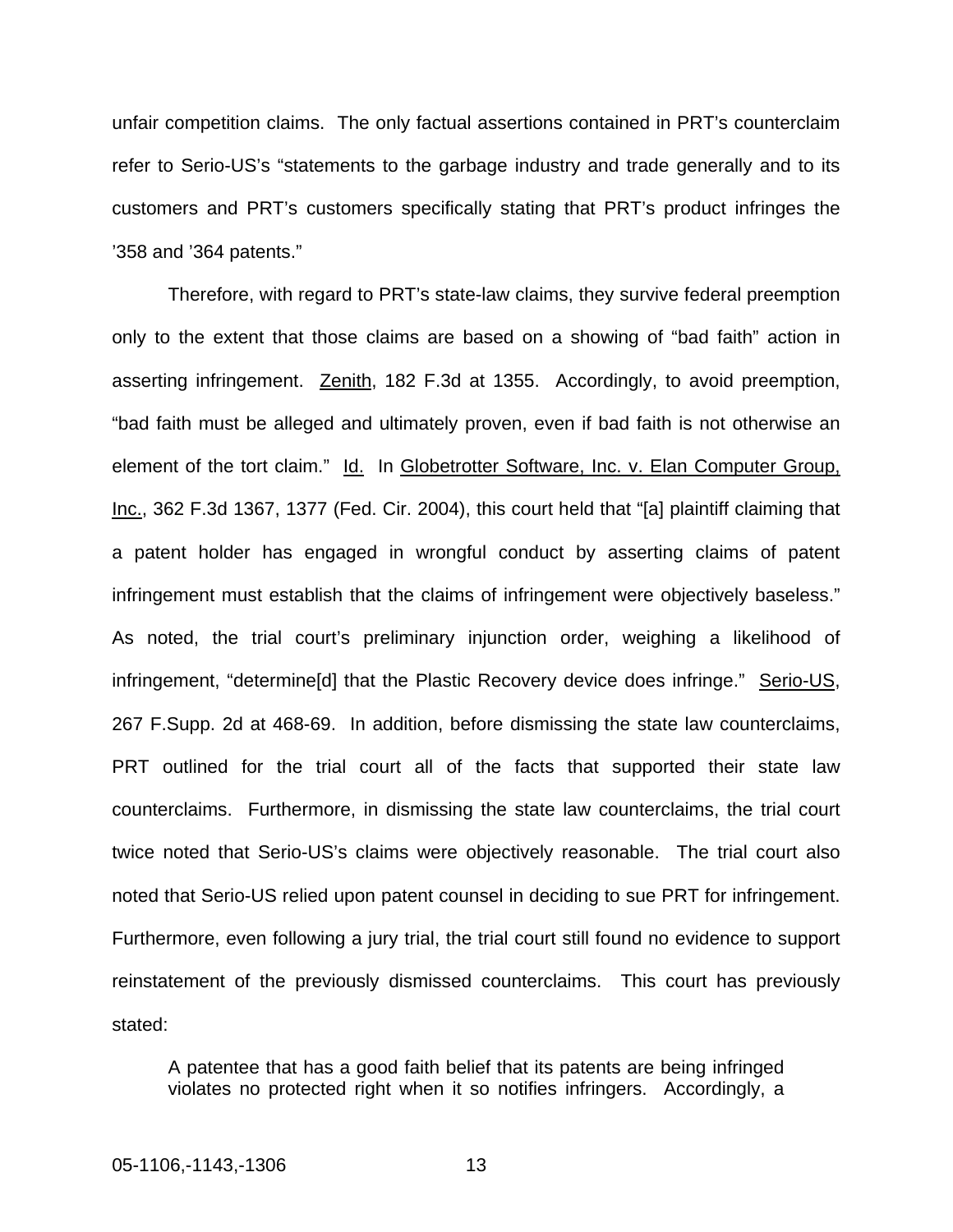unfair competition claims. The only factual assertions contained in PRT's counterclaim refer to Serio-US's "statements to the garbage industry and trade generally and to its customers and PRT's customers specifically stating that PRT's product infringes the '358 and '364 patents."

Therefore, with regard to PRT's state-law claims, they survive federal preemption only to the extent that those claims are based on a showing of "bad faith" action in asserting infringement. Zenith, 182 F.3d at 1355. Accordingly, to avoid preemption, "bad faith must be alleged and ultimately proven, even if bad faith is not otherwise an element of the tort claim." Id. In Globetrotter Software, Inc. v. Elan Computer Group, Inc., 362 F.3d 1367, 1377 (Fed. Cir. 2004), this court held that "[a] plaintiff claiming that a patent holder has engaged in wrongful conduct by asserting claims of patent infringement must establish that the claims of infringement were objectively baseless." As noted, the trial court's preliminary injunction order, weighing a likelihood of infringement, "determine[d] that the Plastic Recovery device does infringe." Serio-US, 267 F.Supp. 2d at 468-69. In addition, before dismissing the state law counterclaims, PRT outlined for the trial court all of the facts that supported their state law counterclaims. Furthermore, in dismissing the state law counterclaims, the trial court twice noted that Serio-US's claims were objectively reasonable. The trial court also noted that Serio-US relied upon patent counsel in deciding to sue PRT for infringement. Furthermore, even following a jury trial, the trial court still found no evidence to support reinstatement of the previously dismissed counterclaims. This court has previously stated:

A patentee that has a good faith belief that its patents are being infringed violates no protected right when it so notifies infringers. Accordingly, a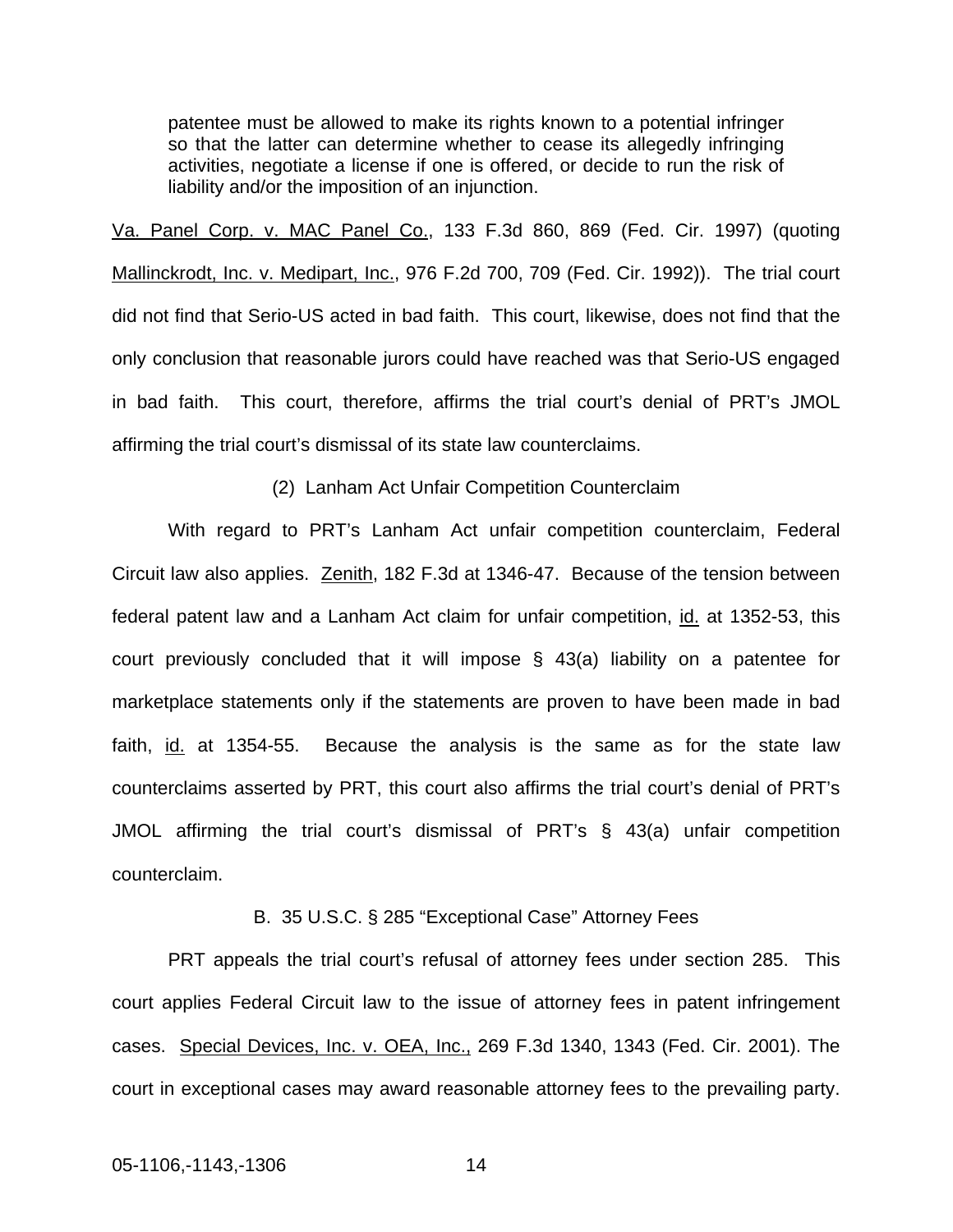patentee must be allowed to make its rights known to a potential infringer so that the latter can determine whether to cease its allegedly infringing activities, negotiate a license if one is offered, or decide to run the risk of liability and/or the imposition of an injunction.

Va. Panel Corp. v. MAC Panel Co., 133 F.3d 860, 869 (Fed. Cir. 1997) (quoting Mallinckrodt, Inc. v. Medipart, Inc., 976 F.2d 700, 709 (Fed. Cir. 1992)). The trial court did not find that Serio-US acted in bad faith. This court, likewise, does not find that the only conclusion that reasonable jurors could have reached was that Serio-US engaged in bad faith. This court, therefore, affirms the trial court's denial of PRT's JMOL affirming the trial court's dismissal of its state law counterclaims.

(2) Lanham Act Unfair Competition Counterclaim

With regard to PRT's Lanham Act unfair competition counterclaim, Federal Circuit law also applies. Zenith, 182 F.3d at 1346-47. Because of the tension between federal patent law and a Lanham Act claim for unfair competition, id. at 1352-53, this court previously concluded that it will impose § 43(a) liability on a patentee for marketplace statements only if the statements are proven to have been made in bad faith, id. at 1354-55. Because the analysis is the same as for the state law counterclaims asserted by PRT, this court also affirms the trial court's denial of PRT's JMOL affirming the trial court's dismissal of PRT's § 43(a) unfair competition counterclaim.

B. 35 U.S.C. § 285 "Exceptional Case" Attorney Fees

PRT appeals the trial court's refusal of attorney fees under section 285. This court applies Federal Circuit law to the issue of attorney fees in patent infringement cases. Special Devices, Inc. v. OEA, Inc., 269 F.3d 1340, 1343 (Fed. Cir. 2001). The court in exceptional cases may award reasonable attorney fees to the prevailing party.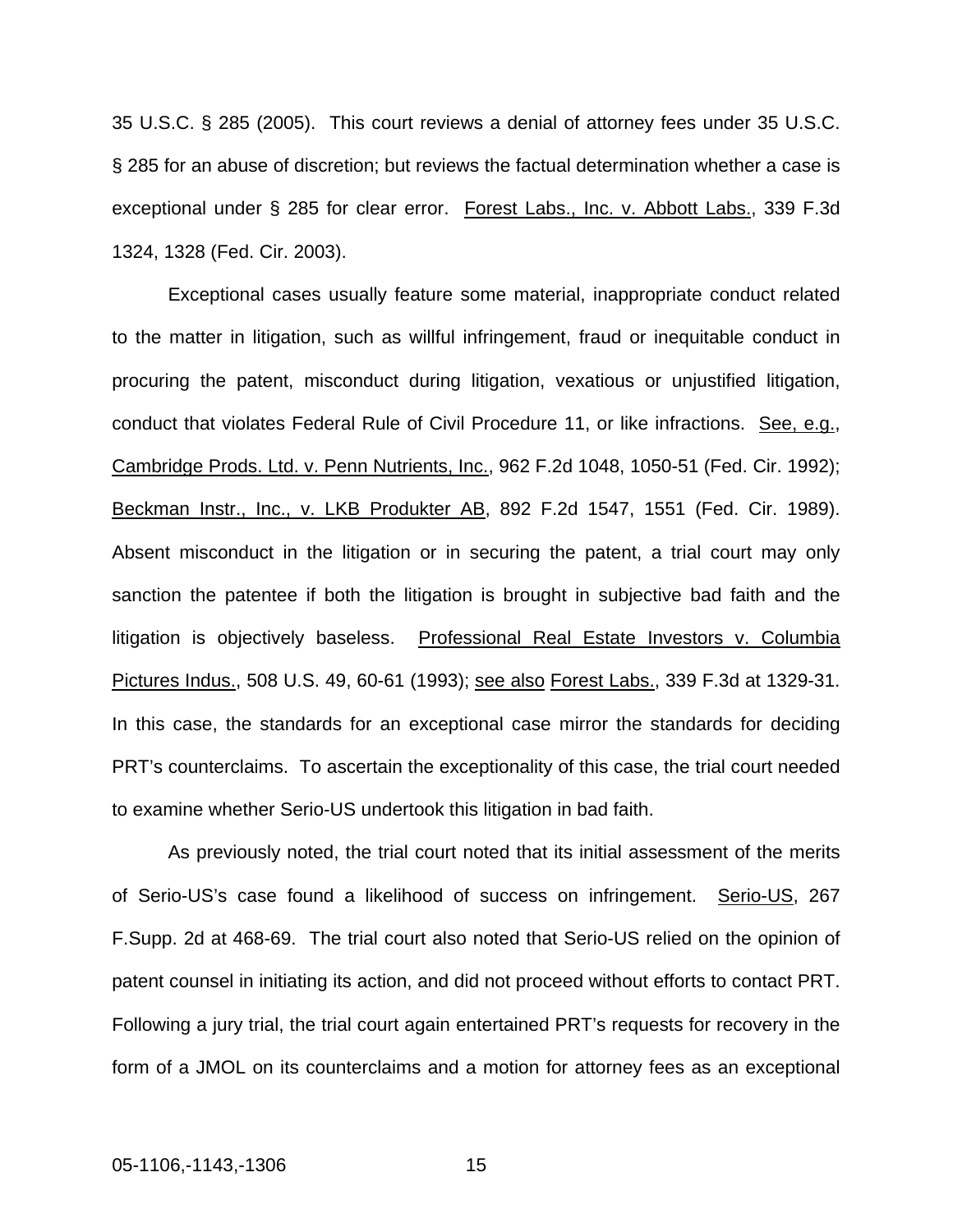35 U.S.C. § 285 (2005). This court reviews a denial of attorney fees under 35 U.S.C. § 285 for an abuse of discretion; but reviews the factual determination whether a case is exceptional under § 285 for clear error. Forest Labs., Inc. v. Abbott Labs., 339 F.3d 1324, 1328 (Fed. Cir. 2003).

Exceptional cases usually feature some material, inappropriate conduct related to the matter in litigation, such as willful infringement, fraud or inequitable conduct in procuring the patent, misconduct during litigation, vexatious or unjustified litigation, conduct that violates Federal Rule of Civil Procedure 11, or like infractions. See, e.g., Cambridge Prods. Ltd. v. Penn Nutrients, Inc., 962 F.2d 1048, 1050-51 (Fed. Cir. 1992); Beckman Instr., Inc., v. LKB Produkter AB, 892 F.2d 1547, 1551 (Fed. Cir. 1989). Absent misconduct in the litigation or in securing the patent, a trial court may only sanction the patentee if both the litigation is brought in subjective bad faith and the litigation is objectively baseless. Professional Real Estate Investors v. Columbia Pictures Indus., 508 U.S. 49, 60-61 (1993); see also Forest Labs., 339 F.3d at 1329-31. In this case, the standards for an exceptional case mirror the standards for deciding PRT's counterclaims. To ascertain the exceptionality of this case, the trial court needed to examine whether Serio-US undertook this litigation in bad faith.

As previously noted, the trial court noted that its initial assessment of the merits of Serio-US's case found a likelihood of success on infringement. Serio-US, 267 F.Supp. 2d at 468-69. The trial court also noted that Serio-US relied on the opinion of patent counsel in initiating its action, and did not proceed without efforts to contact PRT. Following a jury trial, the trial court again entertained PRT's requests for recovery in the form of a JMOL on its counterclaims and a motion for attorney fees as an exceptional